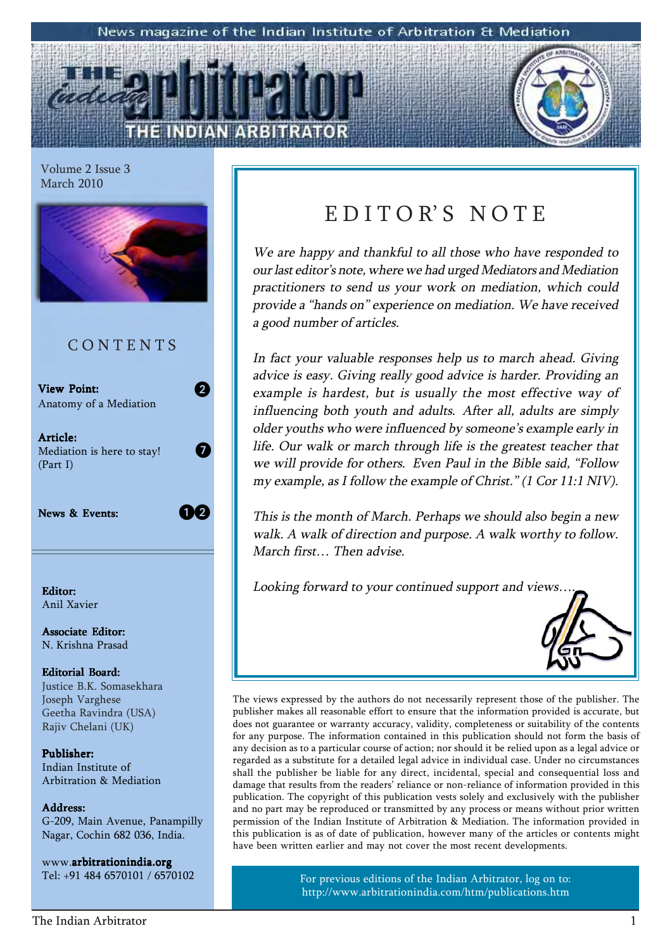#### News magazine of the Indian Institute of Arbitration & Mediation

Volume 2 Issue 3 March 2010



#### C O N T E N T S

| <b>View Point:</b> |                        |
|--------------------|------------------------|
|                    | Anatomy of a Mediation |



7

112

Article: Mediation is here to stay! (Part I)

News & Events:

Anil Xavier

Associate Editor: N. Krishna Prasad

Editorial Board: Justice B.K. Somasekhara Joseph Varghese Geetha Ravindra (USA) Rajiv Chelani (UK)

Publisher: Indian Institute of Arbitration & Mediation

Address: Address: G-209, Main Avenue, Panampilly Nagar, Cochin 682 036, India.

www.arbitrationindia.org Tel: +91 484 6570101 / 6570102

### EDITOR'S NOTE

We are happy and thankful to all those who have responded to our last editor's note, where we had urged Mediators and Mediation practitioners to send us your work on mediation, which could provide a "hands on" experience on mediation. We have received a good number of articles.

In fact your valuable responses help us to march ahead. Giving advice is easy. Giving really good advice is harder. Providing an example is hardest, but is usually the most effective way of influencing both youth and adults. After all, adults are simply older youths who were influenced by someone's example early in life. Our walk or march through life is the greatest teacher that we will provide for others. Even Paul in the Bible said, "Follow my example, as I follow the example of Christ."  $(1$  Cor  $11:1$  NIV).

This is the month of March. Perhaps we should also begin a new walk. A walk of direction and purpose. A walk worthy to follow. March first Then advise

Editor:  $\Box$  Looking forward to your continued support and views...



The views expressed by the authors do not necessarily represent those of the publisher. The publisher makes all reasonable effort to ensure that the information provided is accurate, but does not guarantee or warranty accuracy, validity, completeness or suitability of the contents for any purpose. The information contained in this publication should not form the basis of any decision as to a particular course of action; nor should it be relied upon as a legal advice or regarded as a substitute for a detailed legal advice in individual case. Under no circumstances shall the publisher be liable for any direct, incidental, special and consequential loss and damage that results from the readers' reliance or non-reliance of information provided in this publication. The copyright of this publication vests solely and exclusively with the publisher and no part may be reproduced or transmitted by any process or means without prior written permission of the Indian Institute of Arbitration & Mediation. The information provided in this publication is as of date of publication, however many of the articles or contents might have been written earlier and may not cover the most recent developments.

> For previous editions of the Indian Arbitrator, log on to: http://www.arbitrationindia.com/htm/publications.htm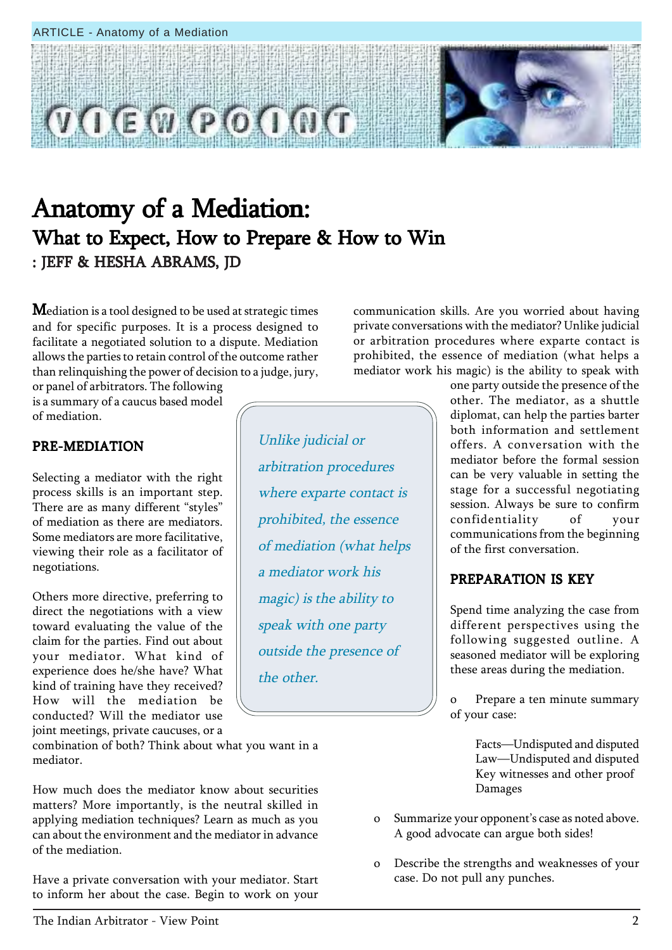# $DOT$

### Anatomy of a Mediation: What to Expect, How to Prepare & How to Win : JEFF & HESHA ABRAMS, JD

Mediation is a tool designed to be used at strategic times and for specific purposes. It is a process designed to facilitate a negotiated solution to a dispute. Mediation allows the parties to retain control of the outcome rather than relinquishing the power of decision to a judge, jury,

or panel of arbitrators. The following is a summary of a caucus based model of mediation.

#### PRE-MEDIATION

Selecting a mediator with the right process skills is an important step. There are as many different "styles" of mediation as there are mediators. Some mediators are more facilitative, viewing their role as a facilitator of negotiations.

Others more directive, preferring to direct the negotiations with a view toward evaluating the value of the claim for the parties. Find out about your mediator. What kind of experience does he/she have? What kind of training have they received? How will the mediation be conducted? Will the mediator use joint meetings, private caucuses, or a

combination of both? Think about what you want in a mediator.

How much does the mediator know about securities matters? More importantly, is the neutral skilled in applying mediation techniques? Learn as much as you can about the environment and the mediator in advance of the mediation.

Have a private conversation with your mediator. Start to inform her about the case. Begin to work on your

Unlike judicial or arbitration procedures where exparte contact is prohibited, the essence of mediation (what helps a mediator work his magic) is the ability to speak with one party outside the presence of the other.

communication skills. Are you worried about having private conversations with the mediator? Unlike judicial or arbitration procedures where exparte contact is prohibited, the essence of mediation (what helps a mediator work his magic) is the ability to speak with

one party outside the presence of the other. The mediator, as a shuttle diplomat, can help the parties barter both information and settlement offers. A conversation with the mediator before the formal session can be very valuable in setting the stage for a successful negotiating session. Always be sure to confirm confidentiality of your communications from the beginning of the first conversation.

#### PREPARATION IS KEY

Spend time analyzing the case from different perspectives using the following suggested outline. A seasoned mediator will be exploring these areas during the mediation.

o Prepare a ten minute summary of your case:

> Facts-Undisputed and disputed Law—Undisputed and disputed Key witnesses and other proof Damages

- o Summarize your opponent's case as noted above. A good advocate can argue both sides!
- o Describe the strengths and weaknesses of your case. Do not pull any punches.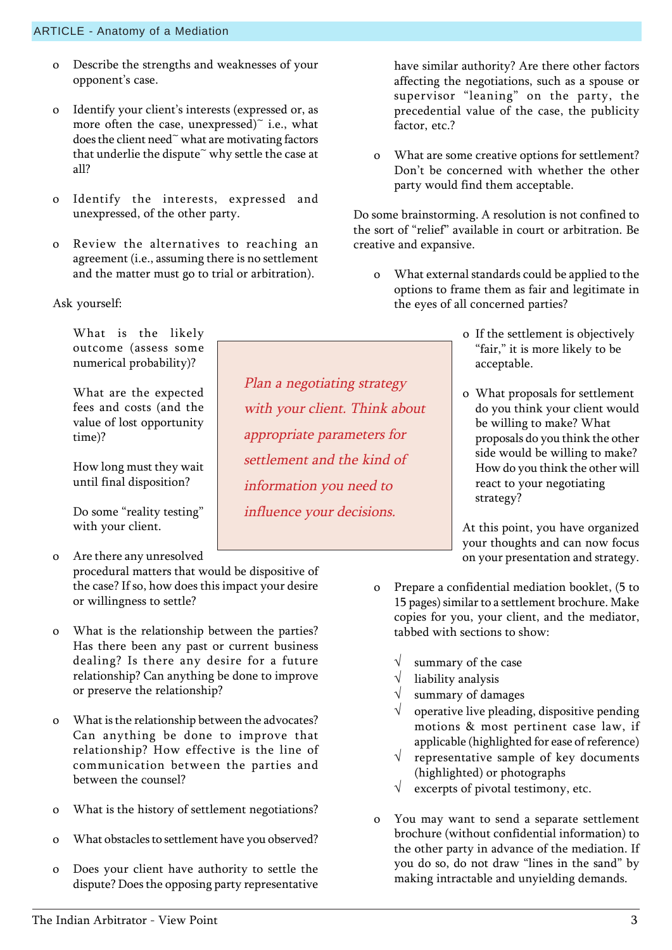- o Describe the strengths and weaknesses of your opponent's case.
- o Identify your client's interests (expressed or, as more often the case, unexpressed) $\tilde{ }$  i.e., what does the client need $\tilde{}$  what are motivating factors that underlie the dispute~ why settle the case at all?
- o Identify the interests, expressed and unexpressed, of the other party.
- o Review the alternatives to reaching an agreement (i.e., assuming there is no settlement and the matter must go to trial or arbitration).

Ask yourself:

What is the likely outcome (assess some numerical probability)?

What are the expected fees and costs (and the value of lost opportunity time)?

How long must they wait until final disposition?

Do some "reality testing" with your client.

- o Are there any unresolved procedural matters that would be dispositive of the case? If so, how does this impact your desire or willingness to settle?
- o What is the relationship between the parties? Has there been any past or current business dealing? Is there any desire for a future relationship? Can anything be done to improve or preserve the relationship?
- o What is the relationship between the advocates? Can anything be done to improve that relationship? How effective is the line of communication between the parties and between the counsel?
- o What is the history of settlement negotiations?
- o What obstacles to settlement have you observed?
- o Does your client have authority to settle the dispute? Does the opposing party representative

Plan a negotiating strategy with your client. Think about appropriate parameters for settlement and the kind of information you need to influence your decisions.

have similar authority? Are there other factors affecting the negotiations, such as a spouse or supervisor "leaning" on the party, the precedential value of the case, the publicity factor, etc.?

o What are some creative options for settlement? Donít be concerned with whether the other party would find them acceptable.

Do some brainstorming. A resolution is not confined to the sort of "relief" available in court or arbitration. Be creative and expansive.

- o What external standards could be applied to the options to frame them as fair and legitimate in the eyes of all concerned parties?
	- o If the settlement is objectively "fair," it is more likely to be acceptable.
	- o What proposals for settlement do you think your client would be willing to make? What proposals do you think the other side would be willing to make? How do you think the other will react to your negotiating strategy?

At this point, you have organized your thoughts and can now focus on your presentation and strategy.

- o Prepare a confidential mediation booklet, (5 to 15 pages) similar to a settlement brochure. Make copies for you, your client, and the mediator, tabbed with sections to show:
	- summary of the case
	- liability analysis
	- summary of damages
	- √ operative live pleading, dispositive pending motions & most pertinent case law, if applicable (highlighted for ease of reference)
	- representative sample of key documents (highlighted) or photographs
	- $\sqrt{\phantom{a}}$  excerpts of pivotal testimony, etc.
- o You may want to send a separate settlement brochure (without confidential information) to the other party in advance of the mediation. If you do so, do not draw "lines in the sand" by making intractable and unyielding demands.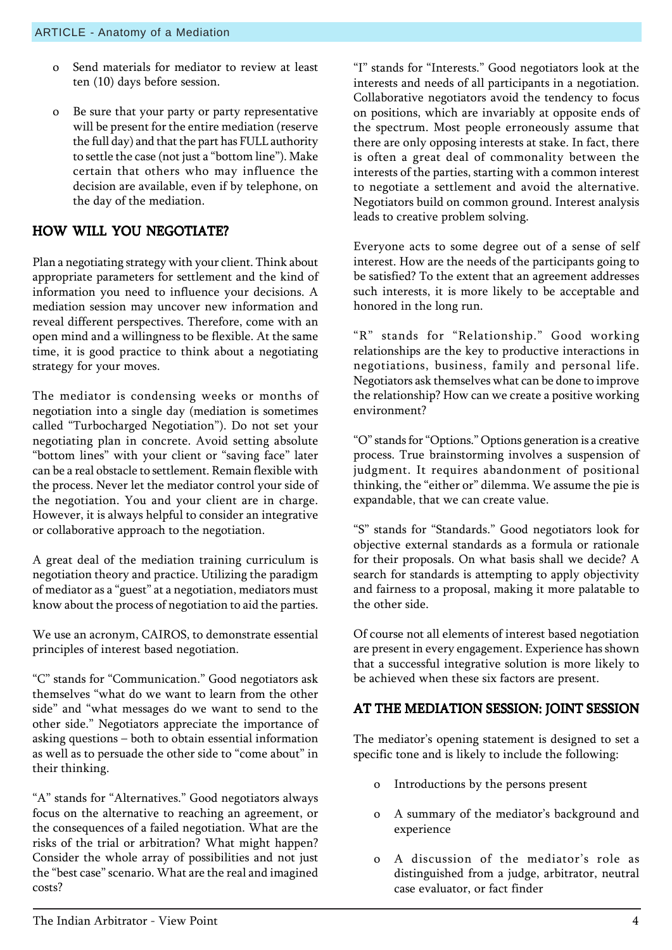- o Send materials for mediator to review at least ten (10) days before session.
- o Be sure that your party or party representative will be present for the entire mediation (reserve the full day) and that the part has FULL authority to settle the case (not just a "bottom line"). Make certain that others who may influence the decision are available, even if by telephone, on the day of the mediation.

#### HOW WILL YOU NEGOTIATE?

Plan a negotiating strategy with your client. Think about appropriate parameters for settlement and the kind of information you need to influence your decisions. A mediation session may uncover new information and reveal different perspectives. Therefore, come with an open mind and a willingness to be flexible. At the same time, it is good practice to think about a negotiating strategy for your moves.

The mediator is condensing weeks or months of negotiation into a single day (mediation is sometimes called "Turbocharged Negotiation"). Do not set your negotiating plan in concrete. Avoid setting absolute "bottom lines" with your client or "saving face" later can be a real obstacle to settlement. Remain flexible with the process. Never let the mediator control your side of the negotiation. You and your client are in charge. However, it is always helpful to consider an integrative or collaborative approach to the negotiation.

A great deal of the mediation training curriculum is negotiation theory and practice. Utilizing the paradigm of mediator as a "guest" at a negotiation, mediators must know about the process of negotiation to aid the parties.

We use an acronym, CAIROS, to demonstrate essential principles of interest based negotiation.

"C" stands for "Communication." Good negotiators ask themselves "what do we want to learn from the other side" and "what messages do we want to send to the other side." Negotiators appreciate the importance of asking questions  $-$  both to obtain essential information as well as to persuade the other side to "come about" in their thinking.

"A" stands for "Alternatives." Good negotiators always focus on the alternative to reaching an agreement, or the consequences of a failed negotiation. What are the risks of the trial or arbitration? What might happen? Consider the whole array of possibilities and not just the "best case" scenario. What are the real and imagined costs?

"I" stands for "Interests." Good negotiators look at the interests and needs of all participants in a negotiation. Collaborative negotiators avoid the tendency to focus on positions, which are invariably at opposite ends of the spectrum. Most people erroneously assume that there are only opposing interests at stake. In fact, there is often a great deal of commonality between the interests of the parties, starting with a common interest to negotiate a settlement and avoid the alternative. Negotiators build on common ground. Interest analysis leads to creative problem solving.

Everyone acts to some degree out of a sense of self interest. How are the needs of the participants going to be satisfied? To the extent that an agreement addresses such interests, it is more likely to be acceptable and honored in the long run.

"R" stands for "Relationship." Good working relationships are the key to productive interactions in negotiations, business, family and personal life. Negotiators ask themselves what can be done to improve the relationship? How can we create a positive working environment?

"O" stands for "Options." Options generation is a creative process. True brainstorming involves a suspension of judgment. It requires abandonment of positional thinking, the "either or" dilemma. We assume the pie is expandable, that we can create value.

"S" stands for "Standards." Good negotiators look for objective external standards as a formula or rationale for their proposals. On what basis shall we decide? A search for standards is attempting to apply objectivity and fairness to a proposal, making it more palatable to the other side.

Of course not all elements of interest based negotiation are present in every engagement. Experience has shown that a successful integrative solution is more likely to be achieved when these six factors are present.

#### AT THE MEDIATION SESSION: JOINT SESSION

The mediator's opening statement is designed to set a specific tone and is likely to include the following:

- o Introductions by the persons present
- o A summary of the mediator's background and experience
- o A discussion of the mediator's role as distinguished from a judge, arbitrator, neutral case evaluator, or fact finder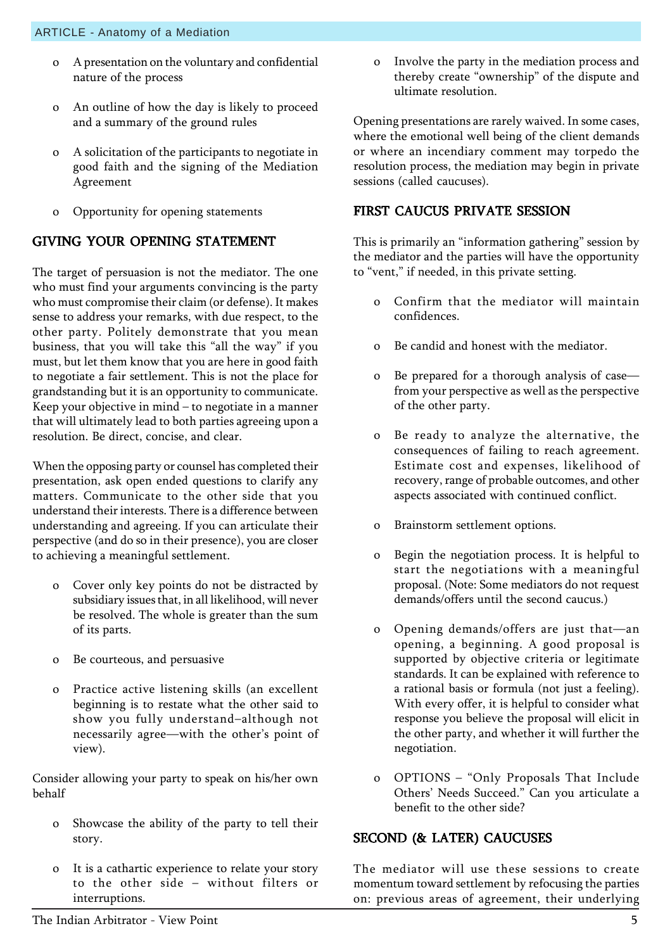#### ARTICLE - Anatomy of a Mediation

- o A presentation on the voluntary and confidential nature of the process
- o An outline of how the day is likely to proceed and a summary of the ground rules
- o A solicitation of the participants to negotiate in good faith and the signing of the Mediation Agreement
- Opportunity for opening statements

#### GIVING YOUR OPENING STATEMENT

The target of persuasion is not the mediator. The one who must find your arguments convincing is the party who must compromise their claim (or defense). It makes sense to address your remarks, with due respect, to the other party. Politely demonstrate that you mean business, that you will take this "all the way" if you must, but let them know that you are here in good faith to negotiate a fair settlement. This is not the place for grandstanding but it is an opportunity to communicate. Keep your objective in  $mind - to$  negotiate in a manner that will ultimately lead to both parties agreeing upon a resolution. Be direct, concise, and clear.

When the opposing party or counsel has completed their presentation, ask open ended questions to clarify any matters. Communicate to the other side that you understand their interests. There is a difference between understanding and agreeing. If you can articulate their perspective (and do so in their presence), you are closer to achieving a meaningful settlement.

- o Cover only key points do not be distracted by subsidiary issues that, in all likelihood, will never be resolved. The whole is greater than the sum of its parts.
- o Be courteous, and persuasive
- o Practice active listening skills (an excellent beginning is to restate what the other said to show you fully understand-although not necessarily agree—with the other's point of view).

Consider allowing your party to speak on his/her own behalf

- o Showcase the ability of the party to tell their story.
- o It is a cathartic experience to relate your story to the other side  $-$  without filters or interruptions.

o Involve the party in the mediation process and thereby create "ownership" of the dispute and ultimate resolution.

Opening presentations are rarely waived. In some cases, where the emotional well being of the client demands or where an incendiary comment may torpedo the resolution process, the mediation may begin in private sessions (called caucuses).

#### FIRST CAUCUS PRIVATE SESSION

This is primarily an "information gathering" session by the mediator and the parties will have the opportunity to "vent," if needed, in this private setting.

- o Confirm that the mediator will maintain confidences.
- o Be candid and honest with the mediator.
- o Be prepared for a thorough analysis of case from your perspective as well as the perspective of the other party.
- o Be ready to analyze the alternative, the consequences of failing to reach agreement. Estimate cost and expenses, likelihood of recovery, range of probable outcomes, and other aspects associated with continued conflict.
- o Brainstorm settlement options.
- o Begin the negotiation process. It is helpful to start the negotiations with a meaningful proposal. (Note: Some mediators do not request demands/offers until the second caucus.)
- o Opening demands/offers are just that—an opening, a beginning. A good proposal is supported by objective criteria or legitimate standards. It can be explained with reference to a rational basis or formula (not just a feeling). With every offer, it is helpful to consider what response you believe the proposal will elicit in the other party, and whether it will further the negotiation.
- o OPTIONS "Only Proposals That Include Others' Needs Succeed." Can you articulate a benefit to the other side?

#### SECOND (& LATER) CAUCUSES

The mediator will use these sessions to create momentum toward settlement by refocusing the parties on: previous areas of agreement, their underlying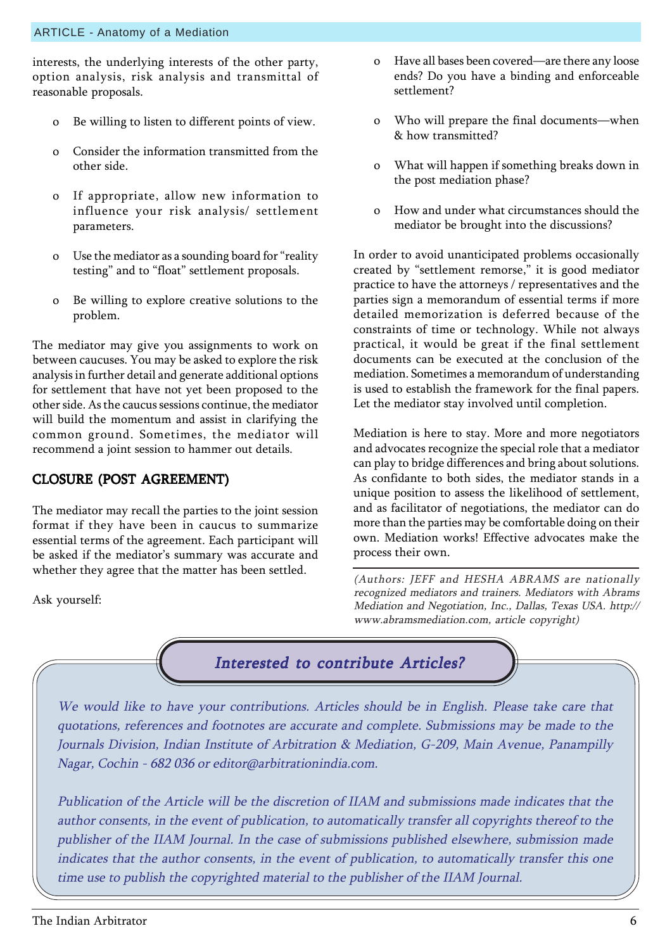#### ARTICLE - Anatomy of a Mediation

interests, the underlying interests of the other party, option analysis, risk analysis and transmittal of reasonable proposals.

- o Be willing to listen to different points of view.
- o Consider the information transmitted from the other side.
- o If appropriate, allow new information to influence your risk analysis/ settlement parameters.
- o Use the mediator as a sounding board for "reality" testing" and to "float" settlement proposals.
- o Be willing to explore creative solutions to the problem.

The mediator may give you assignments to work on between caucuses. You may be asked to explore the risk analysis in further detail and generate additional options for settlement that have not yet been proposed to the other side. As the caucus sessions continue, the mediator will build the momentum and assist in clarifying the common ground. Sometimes, the mediator will recommend a joint session to hammer out details.

#### CLOSURE (POST AGREEMENT)

The mediator may recall the parties to the joint session format if they have been in caucus to summarize essential terms of the agreement. Each participant will be asked if the mediator's summary was accurate and whether they agree that the matter has been settled.

Ask yourself:

- o Have all bases been covered—are there any loose ends? Do you have a binding and enforceable settlement?
- o Who will prepare the final documents—when & how transmitted?
- o What will happen if something breaks down in the post mediation phase?
- o How and under what circumstances should the mediator be brought into the discussions?

In order to avoid unanticipated problems occasionally created by "settlement remorse," it is good mediator practice to have the attorneys / representatives and the parties sign a memorandum of essential terms if more detailed memorization is deferred because of the constraints of time or technology. While not always practical, it would be great if the final settlement documents can be executed at the conclusion of the mediation. Sometimes a memorandum of understanding is used to establish the framework for the final papers. Let the mediator stay involved until completion.

Mediation is here to stay. More and more negotiators and advocates recognize the special role that a mediator can play to bridge differences and bring about solutions. As confidante to both sides, the mediator stands in a unique position to assess the likelihood of settlement, and as facilitator of negotiations, the mediator can do more than the parties may be comfortable doing on their own. Mediation works! Effective advocates make the process their own.

(Authors: JEFF and HESHA ABRAMS are nationally recognized mediators and trainers. Mediators with Abrams Mediation and Negotiation, Inc., Dallas, Texas USA. http:// www.abramsmediation.com, article copyright)



We would like to have your contributions. Articles should be in English. Please take care that quotations, references and footnotes are accurate and complete. Submissions may be made to the Journals Division, Indian Institute of Arbitration & Mediation, G-209, Main Avenue, Panampilly Nagar, Cochin - 682 036 or editor@arbitrationindia.com.

Publication of the Article will be the discretion of IIAM and submissions made indicates that the author consents, in the event of publication, to automatically transfer all copyrights thereof to the publisher of the IIAM Journal. In the case of submissions published elsewhere, submission made indicates that the author consents, in the event of publication, to automatically transfer this one time use to publish the copyrighted material to the publisher of the IIAM Journal.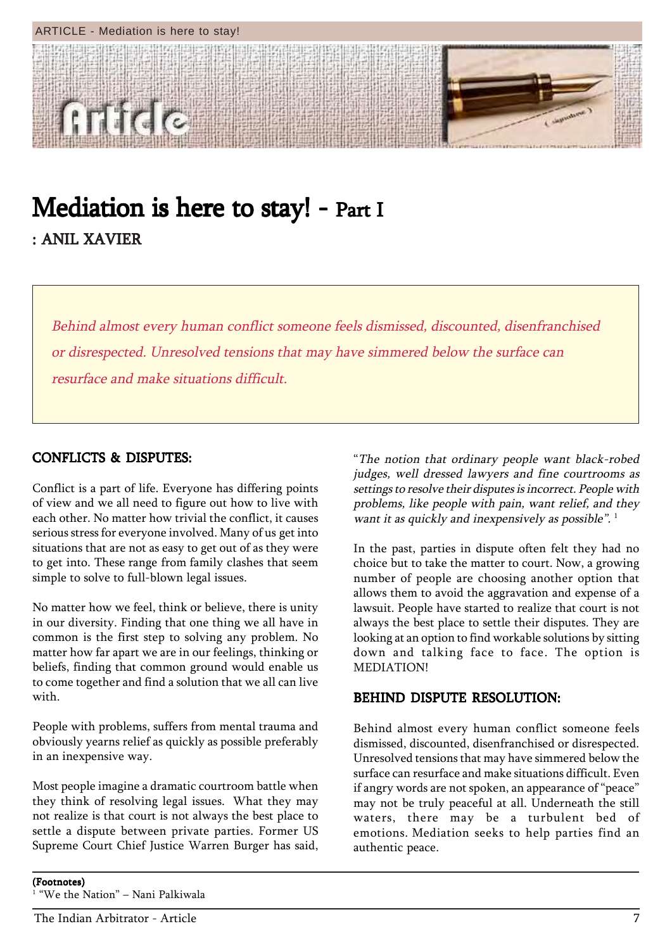

## Mediation is here to stay! - Part I

: ANIL XAVIER

Behind almost every human conflict someone feels dismissed, discounted, disenfranchised or disrespected. Unresolved tensions that may have simmered below the surface can resurface and make situations difficult.

#### CONFLICTS & DISPUTES:

Conflict is a part of life. Everyone has differing points of view and we all need to figure out how to live with each other. No matter how trivial the conflict, it causes serious stress for everyone involved. Many of us get into situations that are not as easy to get out of as they were to get into. These range from family clashes that seem simple to solve to full-blown legal issues.

No matter how we feel, think or believe, there is unity in our diversity. Finding that one thing we all have in common is the first step to solving any problem. No matter how far apart we are in our feelings, thinking or beliefs, finding that common ground would enable us to come together and find a solution that we all can live with.

People with problems, suffers from mental trauma and obviously yearns relief as quickly as possible preferably in an inexpensive way.

Most people imagine a dramatic courtroom battle when they think of resolving legal issues. What they may not realize is that court is not always the best place to settle a dispute between private parties. Former US Supreme Court Chief Justice Warren Burger has said,

#### (Footnotes) 1 "We the Nation" - Nani Palkiwala

"The notion that ordinary people want black-robed judges, well dressed lawyers and fine courtrooms as settings to resolve their disputes is incorrect. People with problems, like people with pain, want relief, and they want it as quickly and inexpensively as possible".<sup>1</sup>

In the past, parties in dispute often felt they had no choice but to take the matter to court. Now, a growing number of people are choosing another option that allows them to avoid the aggravation and expense of a lawsuit. People have started to realize that court is not always the best place to settle their disputes. They are looking at an option to find workable solutions by sitting down and talking face to face. The option is MEDIATION!

#### BEHIND DISPUTE RESOLUTION:

Behind almost every human conflict someone feels dismissed, discounted, disenfranchised or disrespected. Unresolved tensions that may have simmered below the surface can resurface and make situations difficult. Even if angry words are not spoken, an appearance of "peace" may not be truly peaceful at all. Underneath the still waters, there may be a turbulent bed of emotions. Mediation seeks to help parties find an authentic peace.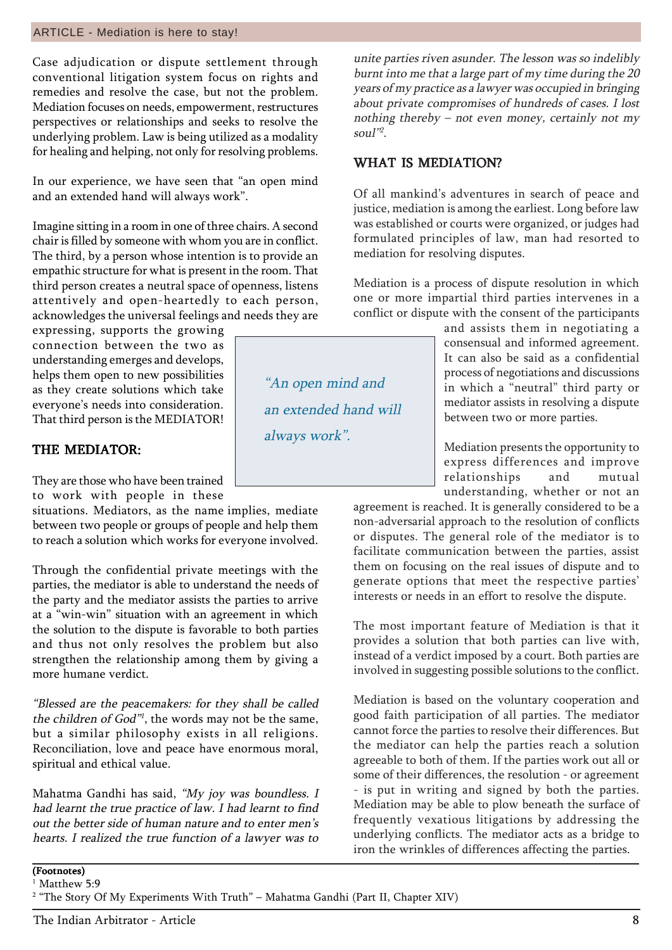#### ARTICLE - Mediation is here to stay!

Case adjudication or dispute settlement through conventional litigation system focus on rights and remedies and resolve the case, but not the problem. Mediation focuses on needs, empowerment, restructures perspectives or relationships and seeks to resolve the underlying problem. Law is being utilized as a modality for healing and helping, not only for resolving problems.

In our experience, we have seen that "an open mind and an extended hand will always work".

Imagine sitting in a room in one of three chairs. A second chair is filled by someone with whom you are in conflict. The third, by a person whose intention is to provide an empathic structure for what is present in the room. That third person creates a neutral space of openness, listens attentively and open-heartedly to each person, acknowledges the universal feelings and needs they are

expressing, supports the growing connection between the two as understanding emerges and develops, helps them open to new possibilities as they create solutions which take everyone's needs into consideration. That third person is the MEDIATOR!

#### THE MEDIATOR:

They are those who have been trained to work with people in these

situations. Mediators, as the name implies, mediate between two people or groups of people and help them to reach a solution which works for everyone involved.

Through the confidential private meetings with the parties, the mediator is able to understand the needs of the party and the mediator assists the parties to arrive at a "win-win" situation with an agreement in which the solution to the dispute is favorable to both parties and thus not only resolves the problem but also strengthen the relationship among them by giving a more humane verdict.

"Blessed are the peacemakers: for they shall be called the children of  $God$ <sup>21</sup>, the words may not be the same, but a similar philosophy exists in all religions. Reconciliation, love and peace have enormous moral, spiritual and ethical value.

Mahatma Gandhi has said, "My joy was boundless. I had learnt the true practice of law. I had learnt to find out the better side of human nature and to enter men's hearts. I realized the true function of a lawyer was to

unite parties riven asunder. The lesson was so indelibly burnt into me that a large part of my time during the 20 years of my practice as a lawyer was occupied in bringing about private compromises of hundreds of cases. I lost nothing thereby  $-$  not even money, certainly not my  $s$ oul<sup>?2</sup>

#### WHAT IS MEDIATION?

Of all mankind's adventures in search of peace and justice, mediation is among the earliest. Long before law was established or courts were organized, or judges had formulated principles of law, man had resorted to mediation for resolving disputes.

Mediation is a process of dispute resolution in which one or more impartial third parties intervenes in a conflict or dispute with the consent of the participants

and assists them in negotiating a consensual and informed agreement. It can also be said as a confidential process of negotiations and discussions in which a "neutral" third party or mediator assists in resolving a dispute between two or more parties.

Mediation presents the opportunity to express differences and improve relationships and mutual understanding, whether or not an

agreement is reached. It is generally considered to be a non-adversarial approach to the resolution of conflicts or disputes. The general role of the mediator is to facilitate communication between the parties, assist them on focusing on the real issues of dispute and to generate options that meet the respective parties' interests or needs in an effort to resolve the dispute.

The most important feature of Mediation is that it provides a solution that both parties can live with, instead of a verdict imposed by a court. Both parties are involved in suggesting possible solutions to the conflict.

Mediation is based on the voluntary cooperation and good faith participation of all parties. The mediator cannot force the parties to resolve their differences. But the mediator can help the parties reach a solution agreeable to both of them. If the parties work out all or some of their differences, the resolution - or agreement - is put in writing and signed by both the parties. Mediation may be able to plow beneath the surface of frequently vexatious litigations by addressing the underlying conflicts. The mediator acts as a bridge to iron the wrinkles of differences affecting the parties.

(Footnotes)

1 Matthew 5:9

"An open mind and an extended hand will always work".

 $^{\rm 2}$  "The Story Of My Experiments With Truth" – Mahatma Gandhi (Part II, Chapter XIV)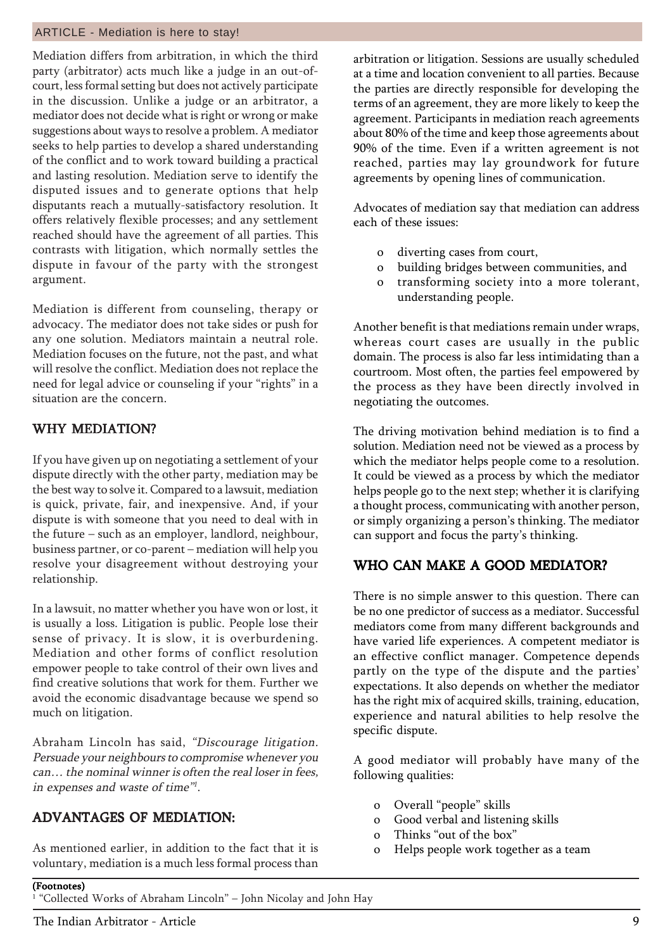#### ARTICLE - Mediation is here to stay!

Mediation differs from arbitration, in which the third party (arbitrator) acts much like a judge in an out-ofcourt, less formal setting but does not actively participate in the discussion. Unlike a judge or an arbitrator, a mediator does not decide what is right or wrong or make suggestions about ways to resolve a problem. A mediator seeks to help parties to develop a shared understanding of the conflict and to work toward building a practical and lasting resolution. Mediation serve to identify the disputed issues and to generate options that help disputants reach a mutually-satisfactory resolution. It offers relatively flexible processes; and any settlement reached should have the agreement of all parties. This contrasts with litigation, which normally settles the dispute in favour of the party with the strongest argument.

Mediation is different from counseling, therapy or advocacy. The mediator does not take sides or push for any one solution. Mediators maintain a neutral role. Mediation focuses on the future, not the past, and what will resolve the conflict. Mediation does not replace the need for legal advice or counseling if your "rights" in a situation are the concern.

#### WHY MEDIATION?

If you have given up on negotiating a settlement of your dispute directly with the other party, mediation may be the best way to solve it. Compared to a lawsuit, mediation is quick, private, fair, and inexpensive. And, if your dispute is with someone that you need to deal with in the future  $-$  such as an employer, landlord, neighbour, business partner, or co-parent - mediation will help you resolve your disagreement without destroying your relationship.

In a lawsuit, no matter whether you have won or lost, it is usually a loss. Litigation is public. People lose their sense of privacy. It is slow, it is overburdening. Mediation and other forms of conflict resolution empower people to take control of their own lives and find creative solutions that work for them. Further we avoid the economic disadvantage because we spend so much on litigation.

Abraham Lincoln has said, "Discourage litigation. Persuade your neighbours to compromise whenever you can... the nominal winner is often the real loser in fees, in expenses and waste of time $"$ <sup>1</sup>.

#### ADVANTAGES OF MEDIATION: ADVANTAGES MEDIATION:

As mentioned earlier, in addition to the fact that it is voluntary, mediation is a much less formal process than

arbitration or litigation. Sessions are usually scheduled at a time and location convenient to all parties. Because the parties are directly responsible for developing the terms of an agreement, they are more likely to keep the agreement. Participants in mediation reach agreements about 80% of the time and keep those agreements about 90% of the time. Even if a written agreement is not reached, parties may lay groundwork for future agreements by opening lines of communication.

Advocates of mediation say that mediation can address each of these issues:

- o diverting cases from court,
- o building bridges between communities, and
- o transforming society into a more tolerant, understanding people.

Another benefit is that mediations remain under wraps, whereas court cases are usually in the public domain. The process is also far less intimidating than a courtroom. Most often, the parties feel empowered by the process as they have been directly involved in negotiating the outcomes.

The driving motivation behind mediation is to find a solution. Mediation need not be viewed as a process by which the mediator helps people come to a resolution. It could be viewed as a process by which the mediator helps people go to the next step; whether it is clarifying a thought process, communicating with another person, or simply organizing a person's thinking. The mediator can support and focus the party's thinking.

#### WHO CAN MAKE A GOOD MEDIATOR?

There is no simple answer to this question. There can be no one predictor of success as a mediator. Successful mediators come from many different backgrounds and have varied life experiences. A competent mediator is an effective conflict manager. Competence depends partly on the type of the dispute and the parties' expectations. It also depends on whether the mediator has the right mix of acquired skills, training, education, experience and natural abilities to help resolve the specific dispute.

A good mediator will probably have many of the following qualities:

- o Overall "people" skills
- o Good verbal and listening skills
- $\Omega$  Thinks "out of the box"
- o Helps people work together as a team

(Footnotes)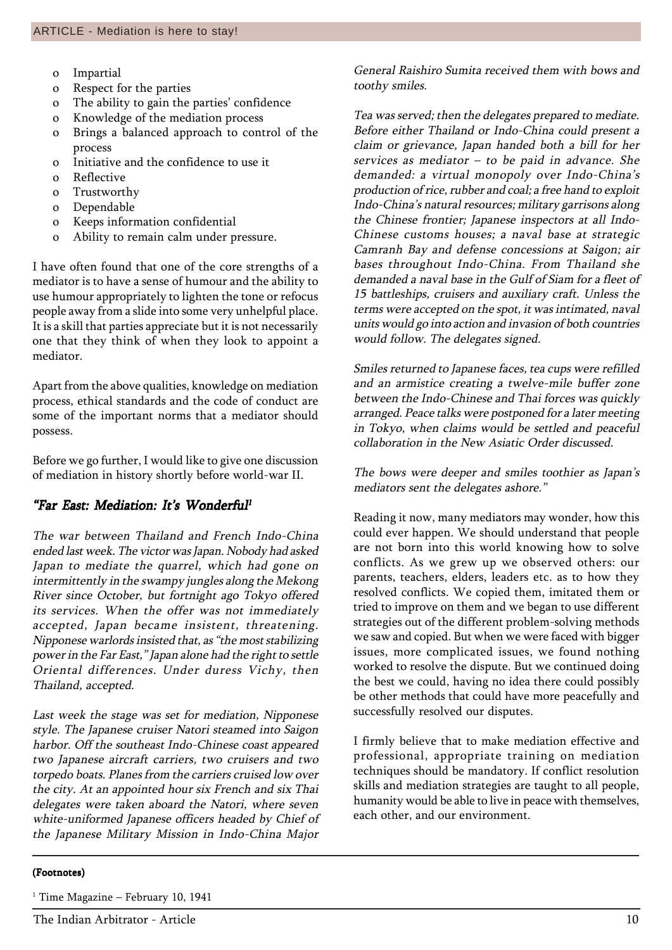- o Impartial
- o Respect for the parties
- o The ability to gain the parties' confidence
- o Knowledge of the mediation process
- o Brings a balanced approach to control of the process
- o Initiative and the confidence to use it
- o Reflective
- o Trustworthy
- o Dependable
- o Keeps information confidential
- o Ability to remain calm under pressure.

I have often found that one of the core strengths of a mediator is to have a sense of humour and the ability to use humour appropriately to lighten the tone or refocus people away from a slide into some very unhelpful place. It is a skill that parties appreciate but it is not necessarily one that they think of when they look to appoint a mediator.

Apart from the above qualities, knowledge on mediation process, ethical standards and the code of conduct are some of the important norms that a mediator should possess.

Before we go further, I would like to give one discussion of mediation in history shortly before world-war II.

#### ìFar East: Mediation: Itís Wonderful ìFar East: Mediation: Wonderful<sup>1</sup>

The war between Thailand and French Indo-China ended last week. The victor was Japan. Nobody had asked Japan to mediate the quarrel, which had gone on intermittently in the swampy jungles along the Mekong River since October, but fortnight ago Tokyo offered its services. When the offer was not immediately accepted, Japan became insistent, threatening. Nipponese warlords insisted that, as "the most stabilizing power in the Far East," Japan alone had the right to settle Oriental differences. Under duress Vichy, then Thailand, accepted.

Last week the stage was set for mediation, Nipponese style. The Japanese cruiser Natori steamed into Saigon harbor. Off the southeast Indo-Chinese coast appeared two Japanese aircraft carriers, two cruisers and two torpedo boats. Planes from the carriers cruised low over the city. At an appointed hour six French and six Thai delegates were taken aboard the Natori, where seven white-uniformed Japanese officers headed by Chief of the Japanese Military Mission in Indo-China Major

#### (Footnotes)

 $^1$  Time Magazine – February 10, 1941

The Indian Arbitrator - Article 10

General Raishiro Sumita received them with bows and toothy smiles.

Tea was served; then the delegates prepared to mediate. Before either Thailand or Indo-China could present a claim or grievance, Japan handed both a bill for her services as mediator  $-$  to be paid in advance. She demanded: a virtual monopoly over Indo-China's production of rice, rubber and coal; a free hand to exploit Indo-Chinaís natural resources; military garrisons along the Chinese frontier; Japanese inspectors at all Indo-Chinese customs houses; a naval base at strategic Camranh Bay and defense concessions at Saigon; air bases throughout Indo-China. From Thailand she demanded a naval base in the Gulf of Siam for a fleet of 15 battleships, cruisers and auxiliary craft. Unless the terms were accepted on the spot, it was intimated, naval units would go into action and invasion of both countries would follow. The delegates signed.

Smiles returned to Japanese faces, tea cups were refilled and an armistice creating a twelve-mile buffer zone between the Indo-Chinese and Thai forces was quickly arranged. Peace talks were postponed for a later meeting in Tokyo, when claims would be settled and peaceful collaboration in the New Asiatic Order discussed.

The bows were deeper and smiles toothier as Japan's mediators sent the delegates ashore."

Reading it now, many mediators may wonder, how this could ever happen. We should understand that people are not born into this world knowing how to solve conflicts. As we grew up we observed others: our parents, teachers, elders, leaders etc. as to how they resolved conflicts. We copied them, imitated them or tried to improve on them and we began to use different strategies out of the different problem-solving methods we saw and copied. But when we were faced with bigger issues, more complicated issues, we found nothing worked to resolve the dispute. But we continued doing the best we could, having no idea there could possibly be other methods that could have more peacefully and successfully resolved our disputes.

I firmly believe that to make mediation effective and professional, appropriate training on mediation techniques should be mandatory. If conflict resolution skills and mediation strategies are taught to all people, humanity would be able to live in peace with themselves, each other, and our environment.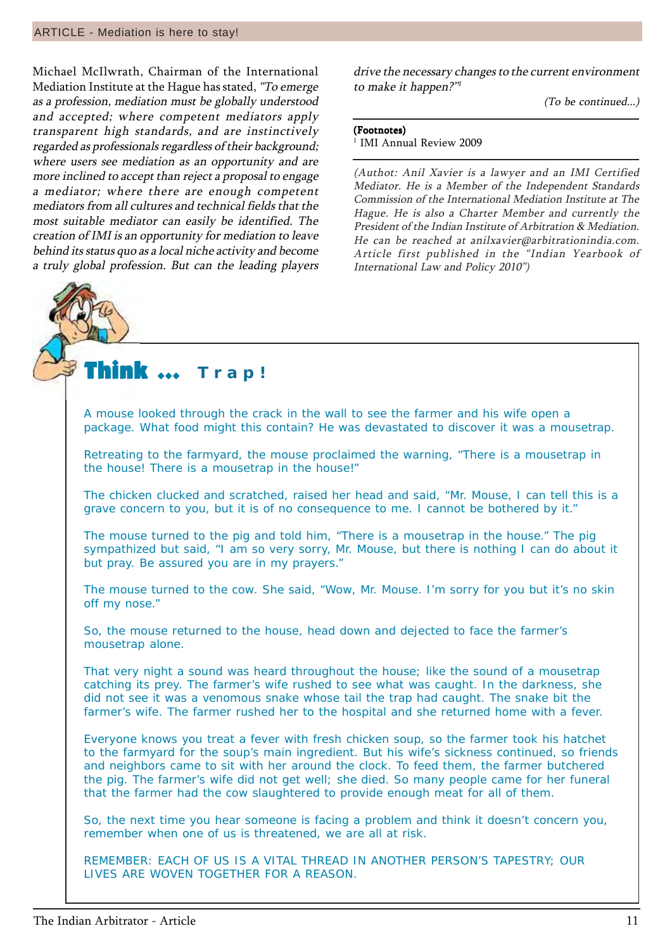Michael McIlwrath, Chairman of the International Mediation Institute at the Hague has stated, "To emerge as a profession, mediation must be globally understood and accepted; where competent mediators apply transparent high standards, and are instinctively regarded as professionals regardless of their background; where users see mediation as an opportunity and are more inclined to accept than reject a proposal to engage a mediator; where there are enough competent mediators from all cultures and technical fields that the most suitable mediator can easily be identified. The creation of IMI is an opportunity for mediation to leave behind its status quo as a local niche activity and become a truly global profession. But can the leading players drive the necessary changes to the current environment to make it happen?"<sup>1</sup>

(To be continued...)

#### (Footnotes)

<sup>1</sup> IMI Annual Review 2009

(Authot: Anil Xavier is a lawyer and an IMI Certified Mediator. He is a Member of the Independent Standards Commission of the International Mediation Institute at The Hague. He is also a Charter Member and currently the President of the Indian Institute of Arbitration & Mediation. He can be reached at anilxavier@arbitrationindia.com. Article first published in the "Indian Yearbook of International Law and Policy  $2010$ ")

#### Think  $\,\cdots\,$ **T r a p !**

A mouse looked through the crack in the wall to see the farmer and his wife open a package. What food might this contain? He was devastated to discover it was a mousetrap.

Retreating to the farmyard, the mouse proclaimed the warning, "There is a mousetrap in the house! There is a mousetrap in the house!"

The chicken clucked and scratched, raised her head and said, "Mr. Mouse, I can tell this is a grave concern to you, but it is of no consequence to me. I cannot be bothered by it."

The mouse turned to the pig and told him, "There is a mousetrap in the house." The pig sympathized but said, "I am so very sorry, Mr. Mouse, but there is nothing I can do about it but pray. Be assured you are in my prayers."

The mouse turned to the cow. She said, "Wow, Mr. Mouse. I'm sorry for you but it's no skin off my nose."

So, the mouse returned to the house, head down and dejected to face the farmer's mousetrap alone.

That very night a sound was heard throughout the house; like the sound of a mousetrap catching its prey. The farmer's wife rushed to see what was caught. In the darkness, she did not see it was a venomous snake whose tail the trap had caught. The snake bit the farmer's wife. The farmer rushed her to the hospital and she returned home with a fever.

Everyone knows you treat a fever with fresh chicken soup, so the farmer took his hatchet to the farmyard for the soup's main ingredient. But his wife's sickness continued, so friends and neighbors came to sit with her around the clock. To feed them, the farmer butchered the pig. The farmer's wife did not get well; she died. So many people came for her funeral that the farmer had the cow slaughtered to provide enough meat for all of them.

So, the next time you hear someone is facing a problem and think it doesn't concern you, remember when one of us is threatened, we are all at risk.

REMEMBER: EACH OF US IS A VITAL THREAD IN ANOTHER PERSON'S TAPESTRY; OUR LIVES ARE WOVEN TOGETHER FOR A REASON.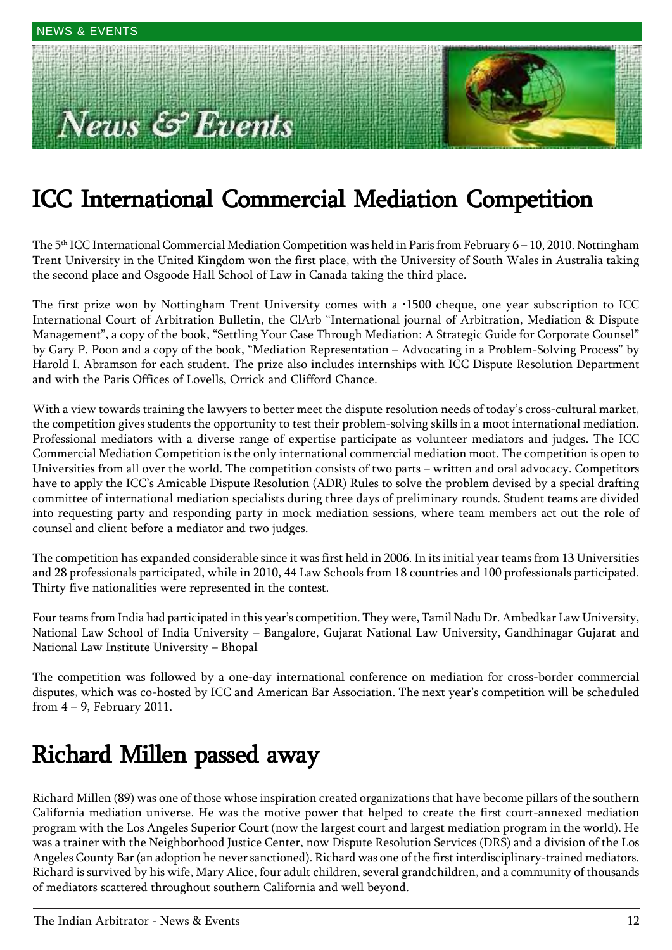## $\emph{ews} \ \mathcal{C}$  Events



## ICC International Commercial Mediation Competition

The 5<sup>th</sup> ICC International Commercial Mediation Competition was held in Paris from February 6 – 10, 2010. Nottingham Trent University in the United Kingdom won the first place, with the University of South Wales in Australia taking the second place and Osgoode Hall School of Law in Canada taking the third place.

The first prize won by Nottingham Trent University comes with a  $\cdot$ 1500 cheque, one year subscription to ICC International Court of Arbitration Bulletin, the ClArb "International journal of Arbitration, Mediation & Dispute Management", a copy of the book, "Settling Your Case Through Mediation: A Strategic Guide for Corporate Counsel" by Gary P. Poon and a copy of the book, "Mediation Representation - Advocating in a Problem-Solving Process" by Harold I. Abramson for each student. The prize also includes internships with ICC Dispute Resolution Department and with the Paris Offices of Lovells, Orrick and Clifford Chance.

With a view towards training the lawyers to better meet the dispute resolution needs of today's cross-cultural market, the competition gives students the opportunity to test their problem-solving skills in a moot international mediation. Professional mediators with a diverse range of expertise participate as volunteer mediators and judges. The ICC Commercial Mediation Competition is the only international commercial mediation moot. The competition is open to Universities from all over the world. The competition consists of two parts – written and oral advocacy. Competitors have to apply the ICC's Amicable Dispute Resolution (ADR) Rules to solve the problem devised by a special drafting committee of international mediation specialists during three days of preliminary rounds. Student teams are divided into requesting party and responding party in mock mediation sessions, where team members act out the role of counsel and client before a mediator and two judges.

The competition has expanded considerable since it was first held in 2006. In its initial year teams from 13 Universities and 28 professionals participated, while in 2010, 44 Law Schools from 18 countries and 100 professionals participated. Thirty five nationalities were represented in the contest.

Four teams from India had participated in this year's competition. They were, Tamil Nadu Dr. Ambedkar Law University, National Law School of India University - Bangalore, Gujarat National Law University, Gandhinagar Gujarat and National Law Institute University - Bhopal

The competition was followed by a one-day international conference on mediation for cross-border commercial disputes, which was co-hosted by ICC and American Bar Association. The next year's competition will be scheduled from  $4 - 9$ , February 2011.

## Richard Millen passed away

Richard Millen (89) was one of those whose inspiration created organizations that have become pillars of the southern California mediation universe. He was the motive power that helped to create the first court-annexed mediation program with the Los Angeles Superior Court (now the largest court and largest mediation program in the world). He was a trainer with the Neighborhood Justice Center, now Dispute Resolution Services (DRS) and a division of the Los Angeles County Bar (an adoption he never sanctioned). Richard was one of the first interdisciplinary-trained mediators. Richard is survived by his wife, Mary Alice, four adult children, several grandchildren, and a community of thousands of mediators scattered throughout southern California and well beyond.